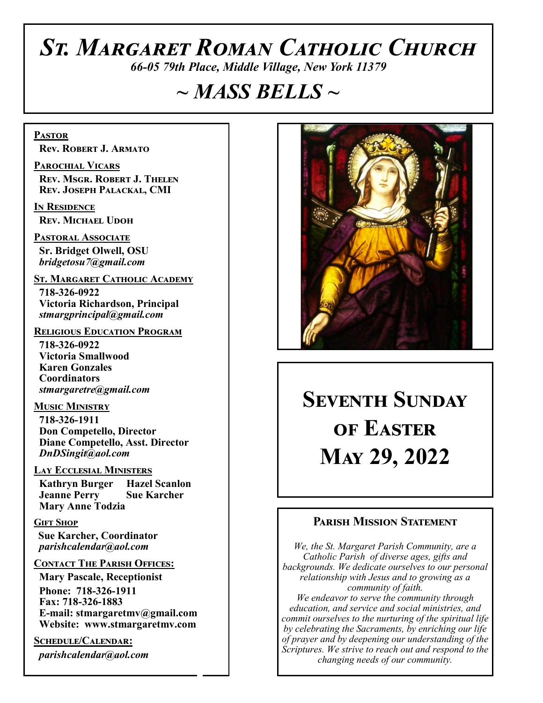# *St. Margaret Roman Catholic Church*

*66-05 79th Place, Middle Village, New York 11379*

# *~ MASS BELLS ~*

**Pastor Rev. Robert J. Armato**

**Parochial Vicars Rev. Msgr. Robert J. Thelen Rev. Joseph Palackal, CMI**

**In Residence Rev. Michael Udoh**

**Pastoral Associate Sr. Bridget Olwell, OSU**  *bridgetosu7@gmail.com*

**St. Margaret Catholic Academy**

 **718-326-0922 Victoria Richardson, Principal**  *stmargprincipal@gmail.com*

#### **Religious Education Program**

 **718-326-0922 Victoria Smallwood Karen Gonzales Coordinators** *stmargaretre@gmail.com*

**Music Ministry** 

 **718-326-1911 Don Competello, Director Diane Competello, Asst. Director** *DnDSingit@aol.com*

#### **Lay Ecclesial Ministers**

 **Kathryn Burger Hazel Scanlon Jeanne Perry Sue Karcher Mary Anne Todzia**

#### **Gift Shop**

 **Sue Karcher, Coordinator** *parishcalendar@aol.com*

#### **Contact The Parish Offices:**

 **Mary Pascale, Receptionist Phone: 718-326-1911 Fax: 718-326-1883 E-mail: stmargaretmv@gmail.com Website: www.stmargaretmv.com**

**Schedule/Calendar:** *parishcalendar@aol.com*



# **Seventh Sunday of Easter May 29, 2022**

### **Parish Mission Statement**

*We, the St. Margaret Parish Community, are a Catholic Parish of diverse ages, gifts and backgrounds. We dedicate ourselves to our personal relationship with Jesus and to growing as a community of faith. We endeavor to serve the community through education, and service and social ministries, and commit ourselves to the nurturing of the spiritual life by celebrating the Sacraments, by enriching our life of prayer and by deepening our understanding of the Scriptures. We strive to reach out and respond to the changing needs of our community.*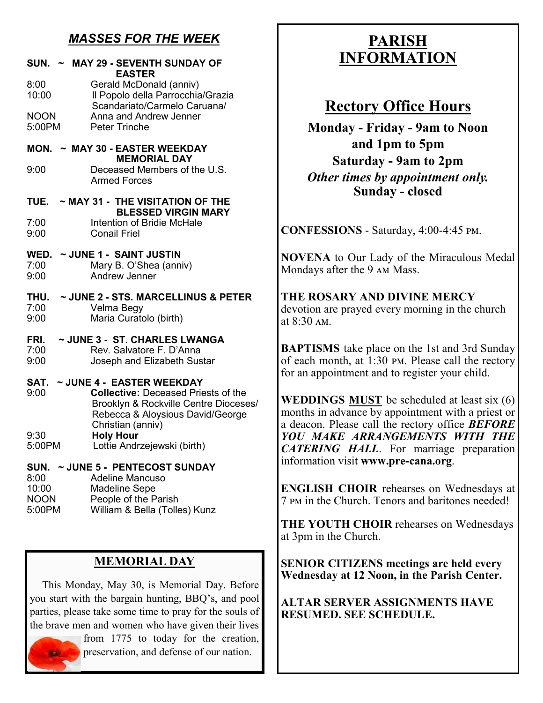## *MASSES FOR THE WEEK*

| SUN. ~ MAY 29 - SEVENTH SUNDAY OF<br><b>EASTER</b>                                                                                                                                        |
|-------------------------------------------------------------------------------------------------------------------------------------------------------------------------------------------|
| 8:00<br>Gerald McDonald (anniv)<br>Il Popolo della Parrocchia/Grazia<br>10:00<br>Scandariato/Carmelo Caruana/                                                                             |
| <b>NOON</b><br>Anna and Andrew Jenner<br>5:00PM<br><b>Peter Trinche</b>                                                                                                                   |
| MON. ~ MAY 30 - EASTER WEEKDAY<br><b>MEMORIAL DAY</b>                                                                                                                                     |
| Deceased Members of the U.S.<br>9:00<br><b>Armed Forces</b>                                                                                                                               |
| TUE.<br>$\sim$ MAY 31 - THE VISITATION OF THE<br><b>BLESSED VIRGIN MARY</b>                                                                                                               |
| <b>Intention of Bridie McHale</b><br>7:00<br>9:00<br><b>Conail Friel</b>                                                                                                                  |
| ~ JUNE 1 - SAINT JUSTIN<br>WED.<br>Mary B. O'Shea (anniv)<br>7:00                                                                                                                         |
| 9:00<br><b>Andrew Jenner</b>                                                                                                                                                              |
| ~ JUNE 2 - STS. MARCELLINUS & PETER<br>THU.<br>7:00<br>Velma Begy<br>9:00<br>Maria Curatolo (birth)                                                                                       |
| ~ JUNE 3 - ST. CHARLES LWANGA<br>FRI.                                                                                                                                                     |
| 7:00<br>Rev. Salvatore F. D'Anna<br>9:00<br>Joseph and Elizabeth Sustar                                                                                                                   |
| ~ JUNE 4 - EASTER WEEKDAY<br>SAT.<br>9:00<br><b>Collective: Deceased Priests of the</b><br>Brooklyn & Rockville Centre Dioceses/<br>Rebecca & Aloysious David/George<br>Christian (anniv) |
| <b>Holy Hour</b><br>9:30<br>5:00PM<br>Lottie Andrzejewski (birth)                                                                                                                         |
| SUN. ~ JUNE 5 - PENTECOST SUNDAY<br><b>Adeline Mancuso</b><br>8:00                                                                                                                        |
| 10:00<br><b>Madeline Sepe</b><br><b>NOON</b><br>People of the Parish                                                                                                                      |
| 5:00PM<br>William & Bella (Tolles) Kunz                                                                                                                                                   |
|                                                                                                                                                                                           |

## **MEMORIAL DAY**

 This Monday, May 30, is Memorial Day. Before you start with the bargain hunting, BBQ's, and pool parties, please take some time to pray for the souls of the brave men and women who have given their lives



preservation, and defense of our nation.

## **PARISH INFORMATION**

## **Rectory Office Hours**

**Monday - Friday - 9am to Noon and 1pm to 5pm Saturday - 9am to 2pm** *Other times by appointment only.* **Sunday - closed**

**CONFESSIONS** - Saturday, 4:00-4:45 pm.

**NOVENA** to Our Lady of the Miraculous Medal Mondays after the 9 am Mass.

**THE ROSARY AND DIVINE MERCY** devotion are prayed every morning in the church at 8:30 am.

**BAPTISMS** take place on the 1st and 3rd Sunday of each month, at 1:30 pm. Please call the rectory for an appointment and to register your child.

**WEDDINGS MUST** be scheduled at least six (6) months in advance by appointment with a priest or a deacon. Please call the rectory office *BEFORE YOU MAKE ARRANGEMENTS WITH THE CATERING HALL*. For marriage preparation information visit **www.pre-cana.org**.

**ENGLISH CHOIR** rehearses on Wednesdays at 7 pm in the Church. Tenors and baritones needed!

**THE YOUTH CHOIR** rehearses on Wednesdays at 3pm in the Church.

**SENIOR CITIZENS meetings are held every Wednesday at 12 Noon, in the Parish Center.** 

**ALTAR SERVER ASSIGNMENTS HAVE RESUMED. SEE SCHEDULE.**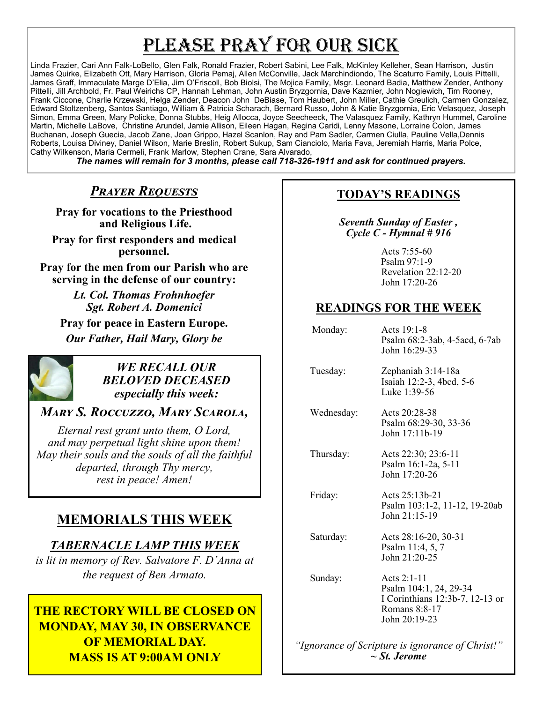# PLEASE PRAY FOR OUR SICK

Linda Frazier, Cari Ann Falk-LoBello, Glen Falk, Ronald Frazier, Robert Sabini, Lee Falk, McKinley Kelleher, Sean Harrison, Justin James Quirke, Elizabeth Ott, Mary Harrison, Gloria Pemaj, Allen McConville, Jack Marchindiondo, The Scaturro Family, Louis Pittelli, James Graff, Immaculate Marge D'Elia, Jim O'Friscoll, Bob Biolsi, The Mojica Family, Msgr. Leonard Badia, Matthew Zender, Anthony Pittelli, Jill Archbold, Fr. Paul Weirichs CP, Hannah Lehman, John Austin Bryzgornia, Dave Kazmier, John Nogiewich, Tim Rooney, Frank Ciccone, Charlie Krzewski, Helga Zender, Deacon John DeBiase, Tom Haubert, John Miller, Cathie Greulich, Carmen Gonzalez, Edward Stoltzenberg, Santos Santiago, William & Patricia Scharach, Bernard Russo, John & Katie Bryzgornia, Eric Velasquez, Joseph Simon, Emma Green, Mary Policke, Donna Stubbs, Heig Allocca, Joyce Seecheeck, The Valasquez Family, Kathryn Hummel, Caroline Martin, Michelle LaBove, Christine Arundel, Jamie Allison, Eileen Hagan, Regina Caridi, Lenny Masone, Lorraine Colon, James Buchanan, Joseph Guecia, Jacob Zane, Joan Grippo, Hazel Scanlon, Ray and Pam Sadler, Carmen Ciulla, Pauline Vella,Dennis Roberts, Louisa Diviney, Daniel Wilson, Marie Breslin, Robert Sukup, Sam Cianciolo, Maria Fava, Jeremiah Harris, Maria Polce, Cathy Wilkenson, Maria Cermeli, Frank Marlow, Stephen Crane, Sara Alvarado,

*The names will remain for 3 months, please call 718-326-1911 and ask for continued prayers.*

## *Prayer Requests*

**Pray for vocations to the Priesthood and Religious Life.**

**Pray for first responders and medical personnel.**

**Pray for the men from our Parish who are serving in the defense of our country:**

> *Lt. Col. Thomas Frohnhoefer Sgt. Robert A. Domenici*

**Pray for peace in Eastern Europe.** *Our Father, Hail Mary, Glory be* 



#### *WE RECALL OUR BELOVED DECEASED especially this week:*

## *Mary S. Roccuzzo, Mary Scarola,*

*Eternal rest grant unto them, O Lord, and may perpetual light shine upon them! May their souls and the souls of all the faithful departed, through Thy mercy, rest in peace! Amen!*

## **MEMORIALS THIS WEEK**

## *TABERNACLE LAMP THIS WEEK*

*is lit in memory of Rev. Salvatore F. D'Anna at the request of Ben Armato.* 

## **THE RECTORY WILL BE CLOSED ON MONDAY, MAY 30, IN OBSERVANCE OF MEMORIAL DAY. MASS IS AT 9:00AM ONLY**

## **TODAY'S READINGS**

*Seventh Sunday of Easter , Cycle C - Hymnal # 916* 

> Acts 7:55-60 Psalm 97:1-9 Revelation 22:12-20 John 17:20-26

## **READINGS FOR THE WEEK**

| Monday:    | Acts 19:1-8<br>Psalm 68:2-3ab, 4-5acd, 6-7ab<br>John 16:29-33                                                |
|------------|--------------------------------------------------------------------------------------------------------------|
| Tuesday:   | Zephaniah 3:14-18a<br>Isaiah 12:2-3, 4bcd, 5-6<br>Luke 1:39-56                                               |
| Wednesday: | Acts 20:28-38<br>Psalm 68:29-30, 33-36<br>John 17:11b-19                                                     |
| Thursday:  | Acts 22:30; 23:6-11<br>Psalm 16:1-2a, 5-11<br>John 17:20-26                                                  |
| Friday:    | Acts 25:13b-21<br>Psalm 103:1-2, 11-12, 19-20ab<br>John 21:15-19                                             |
| Saturday:  | Acts 28:16-20, 30-31<br>Psalm 11:4, 5, 7<br>John 21:20-25                                                    |
| Sunday:    | Acts $2:1-11$<br>Psalm 104:1, 24, 29-34<br>I Corinthians 12:3b-7, 12-13 or<br>Romans 8:8-17<br>John 20:19-23 |

*"Ignorance of Scripture is ignorance of Christ!" ~ St. Jerome*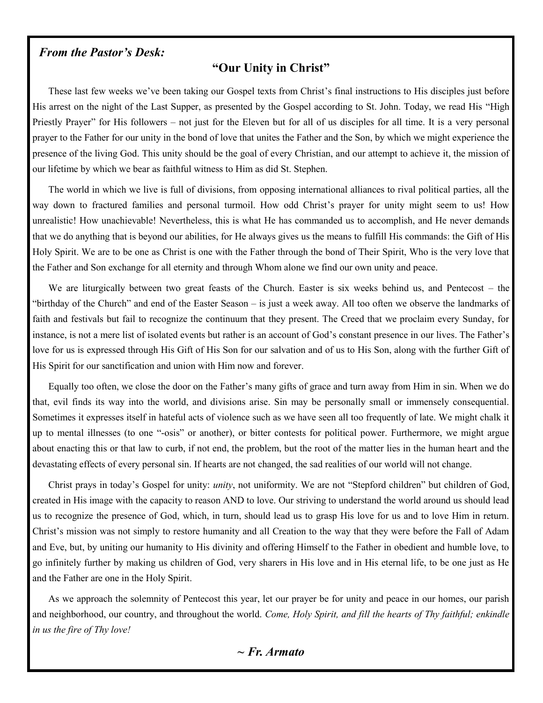#### *From the Pastor's Desk:*

#### **"Our Unity in Christ"**

These last few weeks we've been taking our Gospel texts from Christ's final instructions to His disciples just before His arrest on the night of the Last Supper, as presented by the Gospel according to St. John. Today, we read His "High Priestly Prayer" for His followers – not just for the Eleven but for all of us disciples for all time. It is a very personal prayer to the Father for our unity in the bond of love that unites the Father and the Son, by which we might experience the presence of the living God. This unity should be the goal of every Christian, and our attempt to achieve it, the mission of our lifetime by which we bear as faithful witness to Him as did St. Stephen.

The world in which we live is full of divisions, from opposing international alliances to rival political parties, all the way down to fractured families and personal turmoil. How odd Christ's prayer for unity might seem to us! How unrealistic! How unachievable! Nevertheless, this is what He has commanded us to accomplish, and He never demands that we do anything that is beyond our abilities, for He always gives us the means to fulfill His commands: the Gift of His Holy Spirit. We are to be one as Christ is one with the Father through the bond of Their Spirit, Who is the very love that the Father and Son exchange for all eternity and through Whom alone we find our own unity and peace.

We are liturgically between two great feasts of the Church. Easter is six weeks behind us, and Pentecost – the "birthday of the Church" and end of the Easter Season – is just a week away. All too often we observe the landmarks of faith and festivals but fail to recognize the continuum that they present. The Creed that we proclaim every Sunday, for instance, is not a mere list of isolated events but rather is an account of God's constant presence in our lives. The Father's love for us is expressed through His Gift of His Son for our salvation and of us to His Son, along with the further Gift of His Spirit for our sanctification and union with Him now and forever.

Equally too often, we close the door on the Father's many gifts of grace and turn away from Him in sin. When we do that, evil finds its way into the world, and divisions arise. Sin may be personally small or immensely consequential. Sometimes it expresses itself in hateful acts of violence such as we have seen all too frequently of late. We might chalk it up to mental illnesses (to one "-osis" or another), or bitter contests for political power. Furthermore, we might argue about enacting this or that law to curb, if not end, the problem, but the root of the matter lies in the human heart and the devastating effects of every personal sin. If hearts are not changed, the sad realities of our world will not change.

Christ prays in today's Gospel for unity: *unity*, not uniformity. We are not "Stepford children" but children of God, created in His image with the capacity to reason AND to love. Our striving to understand the world around us should lead us to recognize the presence of God, which, in turn, should lead us to grasp His love for us and to love Him in return. Christ's mission was not simply to restore humanity and all Creation to the way that they were before the Fall of Adam and Eve, but, by uniting our humanity to His divinity and offering Himself to the Father in obedient and humble love, to go infinitely further by making us children of God, very sharers in His love and in His eternal life, to be one just as He and the Father are one in the Holy Spirit.

As we approach the solemnity of Pentecost this year, let our prayer be for unity and peace in our homes, our parish and neighborhood, our country, and throughout the world. *Come, Holy Spirit, and fill the hearts of Thy faithful; enkindle in us the fire of Thy love!*

*~ Fr. Armato*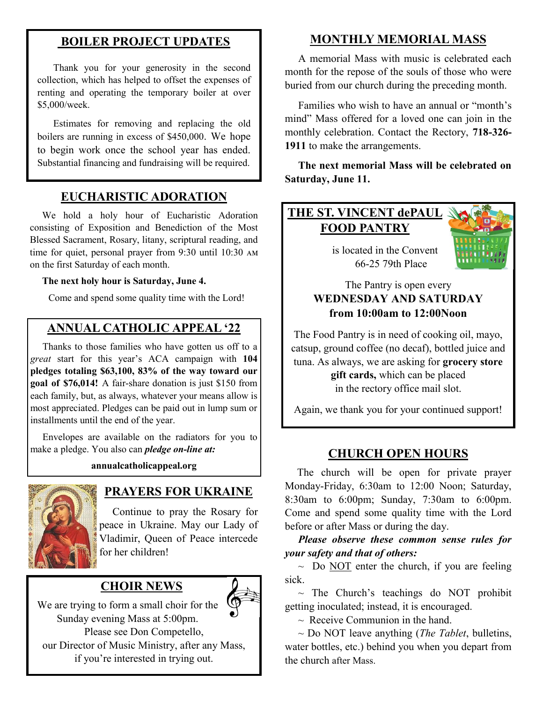## **BOILER PROJECT UPDATES**

Thank you for your generosity in the second collection, which has helped to offset the expenses of renting and operating the temporary boiler at over \$5,000/week.

Estimates for removing and replacing the old boilers are running in excess of \$450,000. We hope to begin work once the school year has ended. Substantial financing and fundraising will be required.

## **EUCHARISTIC ADORATION**

 We hold a holy hour of Eucharistic Adoration consisting of Exposition and Benediction of the Most Blessed Sacrament, Rosary, litany, scriptural reading, and time for quiet, personal prayer from 9:30 until 10:30 am on the first Saturday of each month.

#### **The next holy hour is Saturday, June 4.**

Come and spend some quality time with the Lord!

## **ANNUAL CATHOLIC APPEAL '22**

 Thanks to those families who have gotten us off to a *great* start for this year's ACA campaign with **104 pledges totaling \$63,100, 83% of the way toward our goal of \$76,014!** A fair-share donation is just \$150 from each family, but, as always, whatever your means allow is most appreciated. Pledges can be paid out in lump sum or installments until the end of the year.

 Envelopes are available on the radiators for you to make a pledge. You also can *pledge on-line at:* 

#### **annualcatholicappeal.org**



## **PRAYERS FOR UKRAINE**

 Continue to pray the Rosary for peace in Ukraine. May our Lady of Vladimir, Queen of Peace intercede for her children!

## **CHOIR NEWS**



We are trying to form a small choir for the Sunday evening Mass at 5:00pm. Please see Don Competello, our Director of Music Ministry, after any Mass, if you're interested in trying out.

## **MONTHLY MEMORIAL MASS**

 A memorial Mass with music is celebrated each month for the repose of the souls of those who were buried from our church during the preceding month.

 Families who wish to have an annual or "month's mind" Mass offered for a loved one can join in the monthly celebration. Contact the Rectory, **718-326- 1911** to make the arrangements.

 **The next memorial Mass will be celebrated on Saturday, June 11.** 

## **THE ST. VINCENT dePAUL FOOD PANTRY**

 is located in the Convent 66-25 79th Place



#### The Pantry is open every **WEDNESDAY AND SATURDAY from 10:00am to 12:00Noon**

The Food Pantry is in need of cooking oil, mayo, catsup, ground coffee (no decaf), bottled juice and tuna. As always, we are asking for **grocery store gift cards,** which can be placed in the rectory office mail slot.

Again, we thank you for your continued support!

### **CHURCH OPEN HOURS**

 The church will be open for private prayer Monday-Friday, 6:30am to 12:00 Noon; Saturday, 8:30am to 6:00pm; Sunday, 7:30am to 6:00pm. Come and spend some quality time with the Lord before or after Mass or during the day.

 *Please observe these common sense rules for your safety and that of others:*

 $\sim$  Do NOT enter the church, if you are feeling sick.

 $\sim$  The Church's teachings do NOT prohibit getting inoculated; instead, it is encouraged.

 $\sim$  Receive Communion in the hand.

 ~ Do NOT leave anything (*The Tablet*, bulletins, water bottles, etc.) behind you when you depart from the church after Mass.